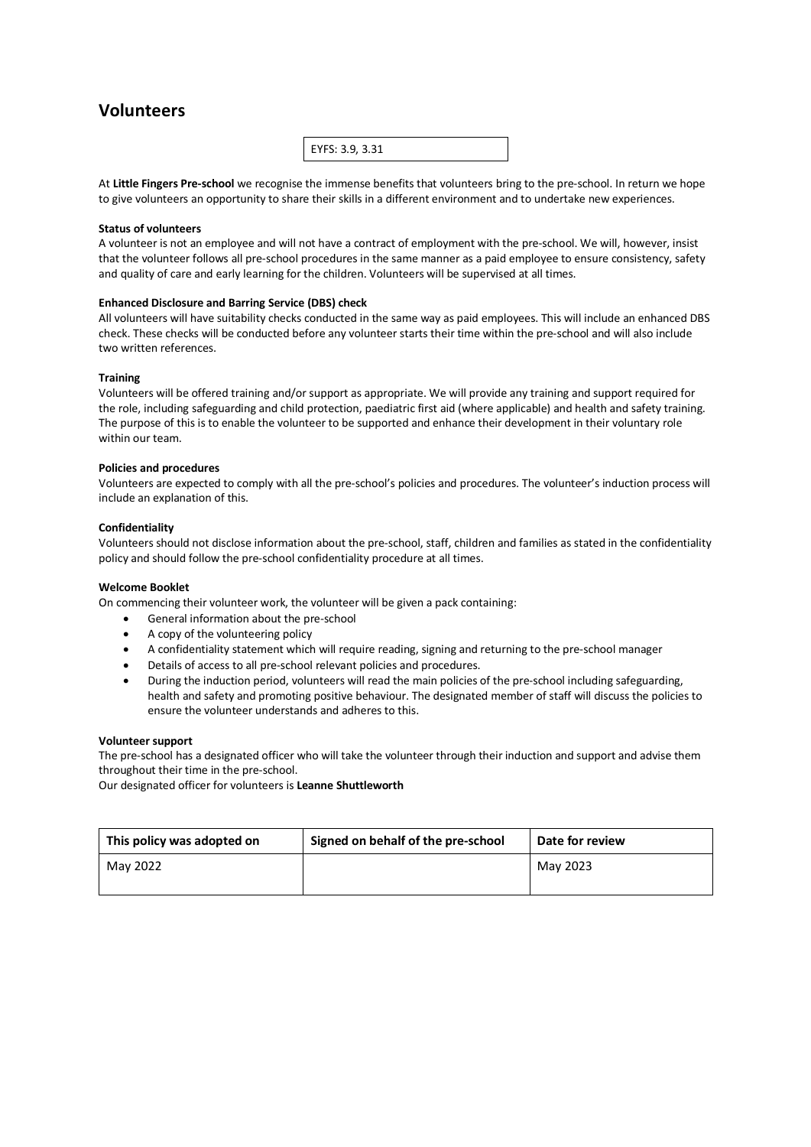## **Volunteers**



At **Little Fingers Pre-school** we recognise the immense benefits that volunteers bring to the pre-school. In return we hope to give volunteers an opportunity to share their skills in a different environment and to undertake new experiences.

## **Status of volunteers**

A volunteer is not an employee and will not have a contract of employment with the pre-school. We will, however, insist that the volunteer follows all pre-school procedures in the same manner as a paid employee to ensure consistency, safety and quality of care and early learning for the children. Volunteers will be supervised at all times.

## **Enhanced Disclosure and Barring Service (DBS) check**

All volunteers will have suitability checks conducted in the same way as paid employees. This will include an enhanced DBS check. These checks will be conducted before any volunteer starts their time within the pre-school and will also include two written references.

#### **Training**

Volunteers will be offered training and/or support as appropriate. We will provide any training and support required for the role, including safeguarding and child protection, paediatric first aid (where applicable) and health and safety training. The purpose of this is to enable the volunteer to be supported and enhance their development in their voluntary role within our team.

#### **Policies and procedures**

Volunteers are expected to comply with all the pre-school's policies and procedures. The volunteer's induction process will include an explanation of this.

#### **Confidentiality**

Volunteers should not disclose information about the pre-school, staff, children and families as stated in the confidentiality policy and should follow the pre-school confidentiality procedure at all times.

#### **Welcome Booklet**

On commencing their volunteer work, the volunteer will be given a pack containing:

- General information about the pre-school
- A copy of the volunteering policy
- A confidentiality statement which will require reading, signing and returning to the pre-school manager
- Details of access to all pre-school relevant policies and procedures.
- During the induction period, volunteers will read the main policies of the pre-school including safeguarding, health and safety and promoting positive behaviour. The designated member of staff will discuss the policies to ensure the volunteer understands and adheres to this.

#### **Volunteer support**

The pre-school has a designated officer who will take the volunteer through their induction and support and advise them throughout their time in the pre-school.

Our designated officer for volunteers is **Leanne Shuttleworth**

| This policy was adopted on | Signed on behalf of the pre-school | Date for review |
|----------------------------|------------------------------------|-----------------|
| May 2022                   |                                    | May 2023        |
|                            |                                    |                 |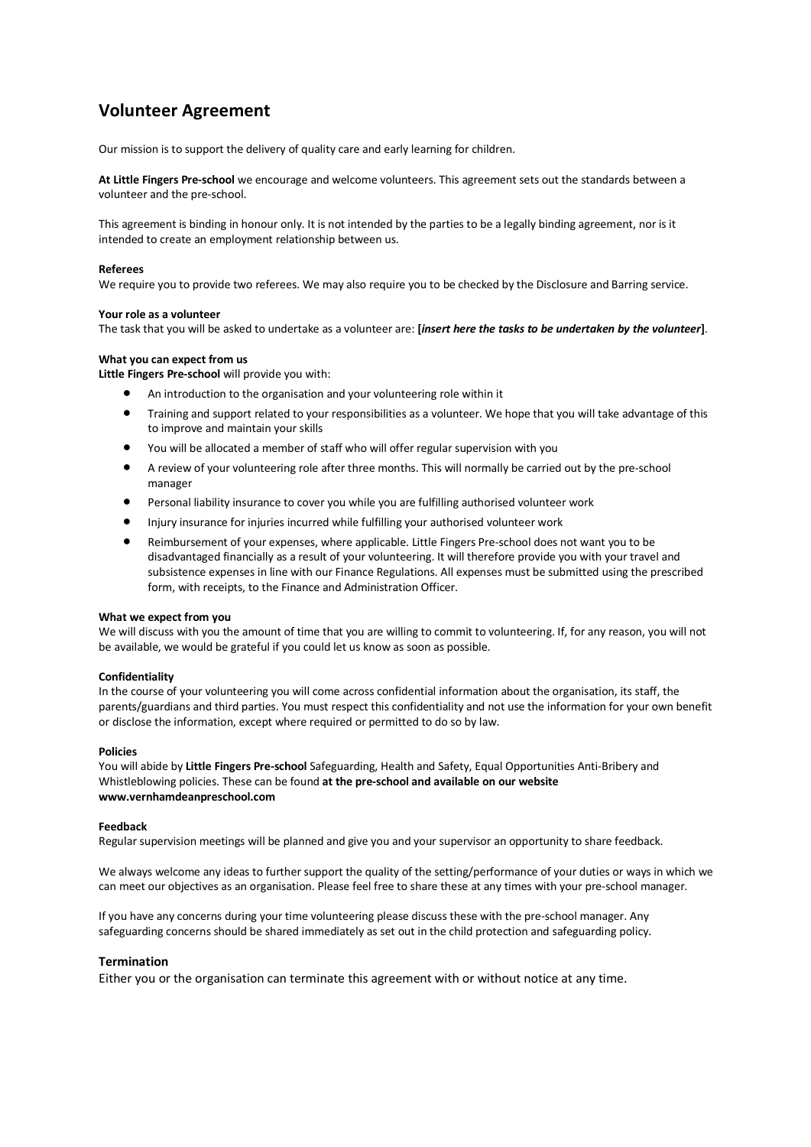# **Volunteer Agreement**

Our mission is to support the delivery of quality care and early learning for children.

**At Little Fingers Pre-school** we encourage and welcome volunteers. This agreement sets out the standards between a volunteer and the pre-school.

This agreement is binding in honour only. It is not intended by the parties to be a legally binding agreement, nor is it intended to create an employment relationship between us.

#### **Referees**

We require you to provide two referees. We may also require you to be checked by the Disclosure and Barring service.

#### **Your role as a volunteer**

The task that you will be asked to undertake as a volunteer are: **[***insert here the tasks to be undertaken by the volunteer***]**.

## **What you can expect from us**

**Little Fingers Pre-school** will provide you with:

- An introduction to the organisation and your volunteering role within it
- Training and support related to your responsibilities as a volunteer. We hope that you will take advantage of this to improve and maintain your skills
- You will be allocated a member of staff who will offer regular supervision with you
- A review of your volunteering role after three months. This will normally be carried out by the pre-school manager
- Personal liability insurance to cover you while you are fulfilling authorised volunteer work
- Injury insurance for injuries incurred while fulfilling your authorised volunteer work
- Reimbursement of your expenses, where applicable. Little Fingers Pre-school does not want you to be disadvantaged financially as a result of your volunteering. It will therefore provide you with your travel and subsistence expenses in line with our Finance Regulations. All expenses must be submitted using the prescribed form, with receipts, to the Finance and Administration Officer.

### **What we expect from you**

We will discuss with you the amount of time that you are willing to commit to volunteering. If, for any reason, you will not be available, we would be grateful if you could let us know as soon as possible.

## **Confidentiality**

In the course of your volunteering you will come across confidential information about the organisation, its staff, the parents/guardians and third parties. You must respect this confidentiality and not use the information for your own benefit or disclose the information, except where required or permitted to do so by law.

#### **Policies**

You will abide by **Little Fingers Pre-school** Safeguarding, Health and Safety, Equal Opportunities Anti-Bribery and Whistleblowing policies. These can be found **at the pre-school and available on our website www.vernhamdeanpreschool.com**

#### **Feedback**

Regular supervision meetings will be planned and give you and your supervisor an opportunity to share feedback.

We always welcome any ideas to further support the quality of the setting/performance of your duties or ways in which we can meet our objectives as an organisation. Please feel free to share these at any times with your pre-school manager.

If you have any concerns during your time volunteering please discuss these with the pre-school manager. Any safeguarding concerns should be shared immediately as set out in the child protection and safeguarding policy.

## **Termination**

Either you or the organisation can terminate this agreement with or without notice at any time.